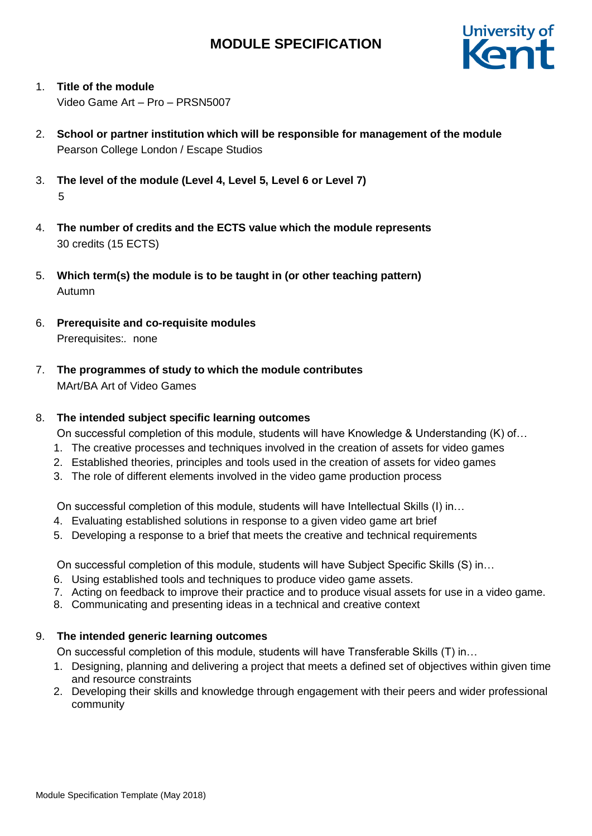

- 1. **Title of the module** Video Game Art – Pro – PRSN5007
- 2. **School or partner institution which will be responsible for management of the module** Pearson College London / Escape Studios
- 3. **The level of the module (Level 4, Level 5, Level 6 or Level 7)** 5
- 4. **The number of credits and the ECTS value which the module represents**  30 credits (15 ECTS)
- 5. **Which term(s) the module is to be taught in (or other teaching pattern)** Autumn
- 6. **Prerequisite and co-requisite modules** Prerequisites:*.* none
- 7. **The programmes of study to which the module contributes** MArt/BA Art of Video Games

## 8. **The intended subject specific learning outcomes**

On successful completion of this module, students will have Knowledge & Understanding (K) of…

- 1. The creative processes and techniques involved in the creation of assets for video games
- 2. Established theories, principles and tools used in the creation of assets for video games
- 3. The role of different elements involved in the video game production process

On successful completion of this module, students will have Intellectual Skills (I) in…

- 4. Evaluating established solutions in response to a given video game art brief
- 5. Developing a response to a brief that meets the creative and technical requirements

On successful completion of this module, students will have Subject Specific Skills (S) in…

- 6. Using established tools and techniques to produce video game assets.
- 7. Acting on feedback to improve their practice and to produce visual assets for use in a video game.
- 8. Communicating and presenting ideas in a technical and creative context

### 9. **The intended generic learning outcomes**

On successful completion of this module, students will have Transferable Skills (T) in…

- 1. Designing, planning and delivering a project that meets a defined set of objectives within given time and resource constraints
- 2. Developing their skills and knowledge through engagement with their peers and wider professional community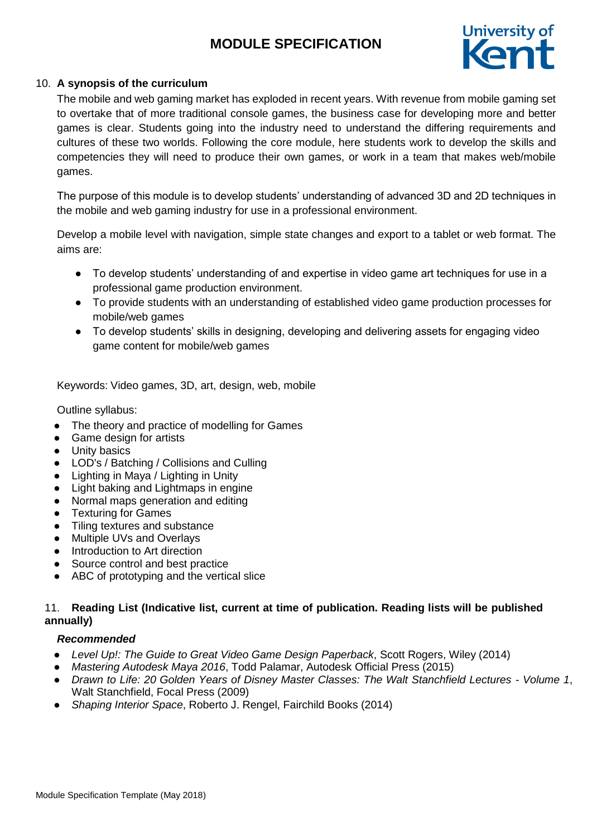

### 10. **A synopsis of the curriculum**

The mobile and web gaming market has exploded in recent years. With revenue from mobile gaming set to overtake that of more traditional console games, the business case for developing more and better games is clear. Students going into the industry need to understand the differing requirements and cultures of these two worlds. Following the core module, here students work to develop the skills and competencies they will need to produce their own games, or work in a team that makes web/mobile games.

The purpose of this module is to develop students' understanding of advanced 3D and 2D techniques in the mobile and web gaming industry for use in a professional environment.

Develop a mobile level with navigation, simple state changes and export to a tablet or web format. The aims are:

- To develop students' understanding of and expertise in video game art techniques for use in a professional game production environment.
- To provide students with an understanding of established video game production processes for mobile/web games
- To develop students' skills in designing, developing and delivering assets for engaging video game content for mobile/web games

Keywords: Video games, 3D, art, design, web, mobile

Outline syllabus:

- The theory and practice of modelling for Games
- Game design for artists
- Unity basics
- LOD's / Batching / Collisions and Culling
- Lighting in Maya / Lighting in Unity
- Light baking and Lightmaps in engine
- Normal maps generation and editing
- Texturing for Games
- Tiling textures and substance
- Multiple UVs and Overlays
- Introduction to Art direction
- Source control and best practice
- ABC of prototyping and the vertical slice

### 11. **Reading List (Indicative list, current at time of publication. Reading lists will be published annually)**

### *Recommended*

- *Level Up!: The Guide to Great Video Game Design Paperback*, Scott Rogers, Wiley (2014)
- *Mastering Autodesk Maya 2016*, Todd Palamar, Autodesk Official Press (2015)
- *Drawn to Life: 20 Golden Years of Disney Master Classes: The Walt Stanchfield Lectures - Volume 1*, Walt Stanchfield, Focal Press (2009)
- *Shaping Interior Space*, Roberto J. Rengel, Fairchild Books (2014)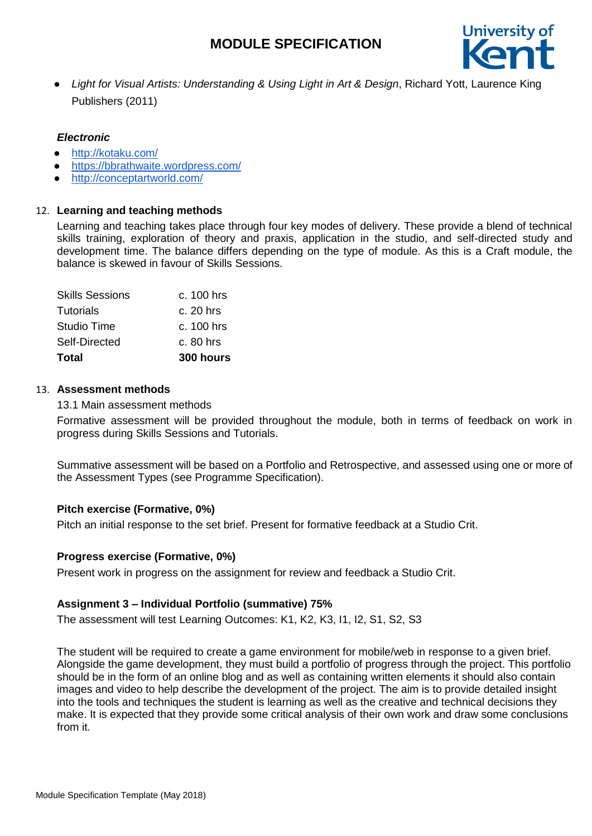

● *Light for Visual Artists: Understanding & Using Light in Art & Design*, Richard Yott, Laurence King Publishers (2011)

## *Electronic*

- <http://kotaku.com/>
- <https://bbrathwaite.wordpress.com/>
- <http://conceptartworld.com/>

### 12. **Learning and teaching methods**

Learning and teaching takes place through four key modes of delivery. These provide a blend of technical skills training, exploration of theory and praxis, application in the studio, and self-directed study and development time. The balance differs depending on the type of module. As this is a Craft module, the balance is skewed in favour of Skills Sessions.

| Total                  | 300 hours    |
|------------------------|--------------|
| Self-Directed          | $c.80$ hrs   |
| Studio Time            | $c. 100$ hrs |
| Tutorials              | c. 20 hrs    |
| <b>Skills Sessions</b> | $c. 100$ hrs |

#### 13. **Assessment methods**

13.1 Main assessment methods

Formative assessment will be provided throughout the module, both in terms of feedback on work in progress during Skills Sessions and Tutorials.

Summative assessment will be based on a Portfolio and Retrospective, and assessed using one or more of the Assessment Types (see Programme Specification).

### **Pitch exercise (Formative, 0%)**

Pitch an initial response to the set brief. Present for formative feedback at a Studio Crit.

### **Progress exercise (Formative, 0%)**

Present work in progress on the assignment for review and feedback a Studio Crit.

### **Assignment 3 – Individual Portfolio (summative) 75%**

The assessment will test Learning Outcomes: K1, K2, K3, I1, I2, S1, S2, S3

The student will be required to create a game environment for mobile/web in response to a given brief. Alongside the game development, they must build a portfolio of progress through the project. This portfolio should be in the form of an online blog and as well as containing written elements it should also contain images and video to help describe the development of the project. The aim is to provide detailed insight into the tools and techniques the student is learning as well as the creative and technical decisions they make. It is expected that they provide some critical analysis of their own work and draw some conclusions from it.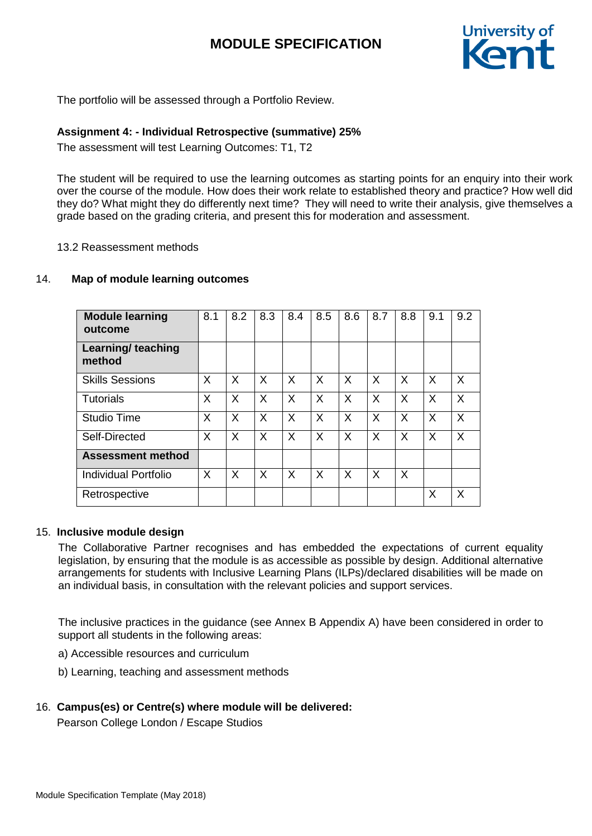

The portfolio will be assessed through a Portfolio Review.

### **Assignment 4: - Individual Retrospective (summative) 25%**

The assessment will test Learning Outcomes: T1, T2

The student will be required to use the learning outcomes as starting points for an enquiry into their work over the course of the module. How does their work relate to established theory and practice? How well did they do? What might they do differently next time? They will need to write their analysis, give themselves a grade based on the grading criteria, and present this for moderation and assessment.

13.2 Reassessment methods

### 14. **Map of module learning outcomes**

| <b>Module learning</b><br>outcome | 8.1 | 8.2      | 8.3 | 8.4 | 8.5 | 8.6      | 8.7 | 8.8      | 9.1 | 9.2          |
|-----------------------------------|-----|----------|-----|-----|-----|----------|-----|----------|-----|--------------|
| Learning/ teaching<br>method      |     |          |     |     |     |          |     |          |     |              |
| <b>Skills Sessions</b>            | X   | X        | X   | X   | X   | $\times$ | X   | $\times$ | X   | $\mathsf{X}$ |
| Tutorials                         | X   | X        | X   | X   | X   | X        | X   | X        | X   | X            |
| Studio Time                       | X   | X        | X   | X   | X   | X        | X   | X        | X   | X            |
| Self-Directed                     | X   | X        | X   | X   | X   | X        | X   | X        | X   | X            |
| <b>Assessment method</b>          |     |          |     |     |     |          |     |          |     |              |
| Individual Portfolio              | X   | $\times$ | X   | X   | X   | X        | X   | $\times$ |     |              |
| Retrospective                     |     |          |     |     |     |          |     |          | X   | X            |

### 15. **Inclusive module design**

The Collaborative Partner recognises and has embedded the expectations of current equality legislation, by ensuring that the module is as accessible as possible by design. Additional alternative arrangements for students with Inclusive Learning Plans (ILPs)/declared disabilities will be made on an individual basis, in consultation with the relevant policies and support services.

The inclusive practices in the guidance (see Annex B Appendix A) have been considered in order to support all students in the following areas:

- a) Accessible resources and curriculum
- b) Learning, teaching and assessment methods

### 16. **Campus(es) or Centre(s) where module will be delivered:**

Pearson College London / Escape Studios